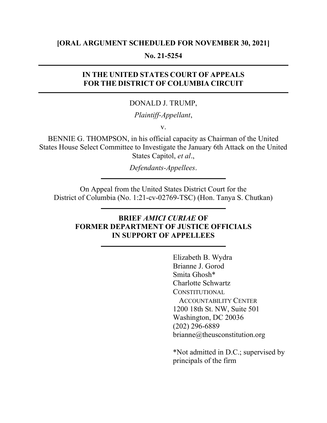### [ORAL ARGUMENT SCHEDULED FOR NOVEMBER 30, 2021]

### No. 21-5254

## IN THE UNITED STATES COURT OF APPEALS FOR THE DISTRICT OF COLUMBIA CIRCUIT

#### DONALD J. TRUMP,

### Plaintiff-Appellant,

v.

BENNIE G. THOMPSON, in his official capacity as Chairman of the United States House Select Committee to Investigate the January 6th Attack on the United States Capitol, et al.,

Defendants-Appellees.

On Appeal from the United States District Court for the District of Columbia (No. 1:21-cv-02769-TSC) (Hon. Tanya S. Chutkan)

# BRIEF AMICI CURIAE OF FORMER DEPARTMENT OF JUSTICE OFFICIALS IN SUPPORT OF APPELLEES

 Elizabeth B. Wydra Brianne J. Gorod Smita Ghosh\* Charlotte Schwartz **CONSTITUTIONAL**  ACCOUNTABILITY CENTER 1200 18th St. NW, Suite 501 Washington, DC 20036 (202) 296-6889 brianne@theusconstitution.org

 \*Not admitted in D.C.; supervised by principals of the firm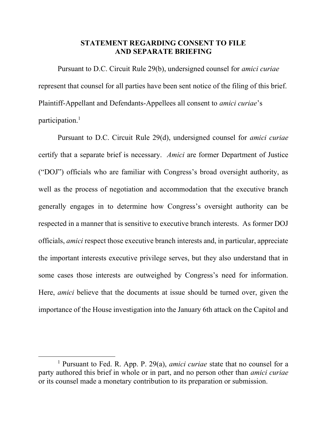### STATEMENT REGARDING CONSENT TO FILE AND SEPARATE BRIEFING

 Pursuant to D.C. Circuit Rule 29(b), undersigned counsel for amici curiae represent that counsel for all parties have been sent notice of the filing of this brief. Plaintiff-Appellant and Defendants-Appellees all consent to amici curiae's participation.<sup>1</sup>

Pursuant to D.C. Circuit Rule 29(d), undersigned counsel for amici curiae certify that a separate brief is necessary. Amici are former Department of Justice ("DOJ") officials who are familiar with Congress's broad oversight authority, as well as the process of negotiation and accommodation that the executive branch generally engages in to determine how Congress's oversight authority can be respected in a manner that is sensitive to executive branch interests. As former DOJ officials, amici respect those executive branch interests and, in particular, appreciate the important interests executive privilege serves, but they also understand that in some cases those interests are outweighed by Congress's need for information. Here, amici believe that the documents at issue should be turned over, given the importance of the House investigation into the January 6th attack on the Capitol and

<sup>&</sup>lt;sup>1</sup> Pursuant to Fed. R. App. P. 29(a), *amici curiae* state that no counsel for a party authored this brief in whole or in part, and no person other than amici curiae or its counsel made a monetary contribution to its preparation or submission.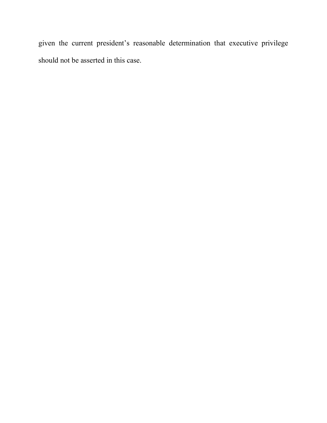given the current president's reasonable determination that executive privilege should not be asserted in this case.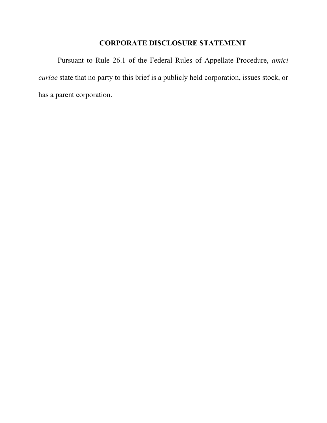# CORPORATE DISCLOSURE STATEMENT

Pursuant to Rule 26.1 of the Federal Rules of Appellate Procedure, amici curiae state that no party to this brief is a publicly held corporation, issues stock, or has a parent corporation.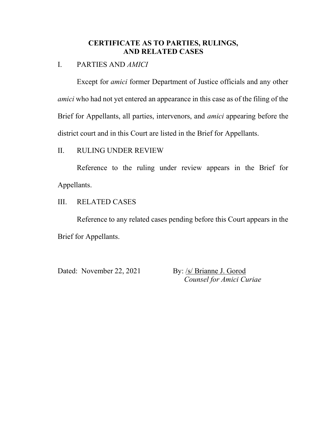## CERTIFICATE AS TO PARTIES, RULINGS, AND RELATED CASES

### I. PARTIES AND AMICI

Except for amici former Department of Justice officials and any other amici who had not yet entered an appearance in this case as of the filing of the Brief for Appellants, all parties, intervenors, and amici appearing before the district court and in this Court are listed in the Brief for Appellants.

### II. RULING UNDER REVIEW

Reference to the ruling under review appears in the Brief for Appellants.

## III. RELATED CASES

Reference to any related cases pending before this Court appears in the Brief for Appellants.

Dated: November 22, 2021 By: /s/ Brianne J. Gorod

Counsel for Amici Curiae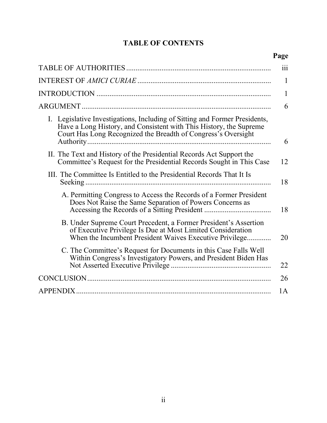# TABLE OF CONTENTS

# Page

|                                                                                                                                                                                                                   | 111 |
|-------------------------------------------------------------------------------------------------------------------------------------------------------------------------------------------------------------------|-----|
|                                                                                                                                                                                                                   | 1   |
|                                                                                                                                                                                                                   | 1   |
|                                                                                                                                                                                                                   | 6   |
| I. Legislative Investigations, Including of Sitting and Former Presidents,<br>Have a Long History, and Consistent with This History, the Supreme<br>Court Has Long Recognized the Breadth of Congress's Oversight | 6   |
| II. The Text and History of the Presidential Records Act Support the<br>Committee's Request for the Presidential Records Sought in This Case                                                                      | 12  |
| III. The Committee Is Entitled to the Presidential Records That It Is                                                                                                                                             | 18  |
| A. Permitting Congress to Access the Records of a Former President<br>Does Not Raise the Same Separation of Powers Concerns as                                                                                    | 18  |
| B. Under Supreme Court Precedent, a Former President's Assertion<br>of Executive Privilege Is Due at Most Limited Consideration<br>When the Incumbent President Waives Executive Privilege                        | 20  |
| C. The Committee's Request for Documents in this Case Falls Well<br>Within Congress's Investigatory Powers, and President Biden Has                                                                               | 22  |
|                                                                                                                                                                                                                   | 26  |
|                                                                                                                                                                                                                   | 1A  |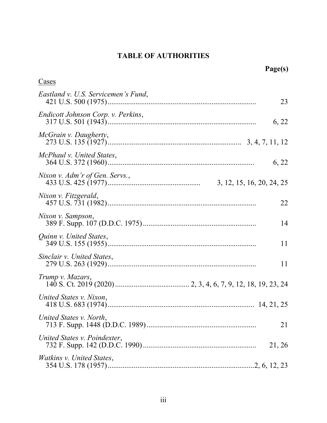# TABLE OF AUTHORITIES

| Page(s)                                |       |
|----------------------------------------|-------|
| Cases                                  |       |
| Eastland v. U.S. Servicemen's Fund,    | 23    |
| Endicott Johnson Corp. v. Perkins,     | 6, 22 |
| McGrain v. Daugherty,                  |       |
| McPhaul v. United States,              | 6, 22 |
| Nixon v. Adm'r of Gen. Servs.,         |       |
| Nixon v. Fitzgerald,                   | 22    |
| Nixon v. Sampson,                      | 14    |
| Quinn v. United States,                | 11    |
| Sinclair v. United States,             | 11    |
| Trump v. Mazars,                       |       |
| United States v. Nixon,                |       |
| United States v. North,                | 21    |
| United States v. Poindexter,<br>21, 26 |       |
| <i>Watkins v. United States,</i>       |       |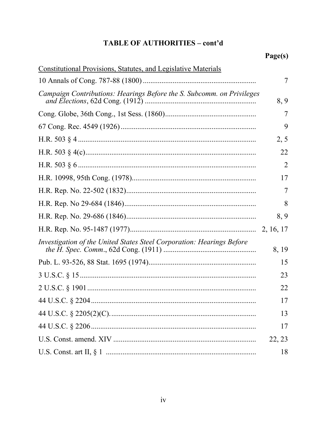# TABLE OF AUTHORITIES - cont'd

| <b>Constitutional Provisions, Statutes, and Legislative Materials</b> |        |
|-----------------------------------------------------------------------|--------|
|                                                                       | 7      |
| Campaign Contributions: Hearings Before the S. Subcomm. on Privileges | 8, 9   |
|                                                                       |        |
|                                                                       | 9      |
|                                                                       | 2, 5   |
|                                                                       | 22     |
|                                                                       | 2      |
|                                                                       | 17     |
|                                                                       | 7      |
|                                                                       | 8      |
|                                                                       | 8, 9   |
|                                                                       |        |
| Investigation of the United States Steel Corporation: Hearings Before | 8, 19  |
|                                                                       | 15     |
|                                                                       | 23     |
|                                                                       | 22     |
|                                                                       | 17     |
|                                                                       | 13     |
|                                                                       | 17     |
|                                                                       | 22, 23 |
|                                                                       | 18     |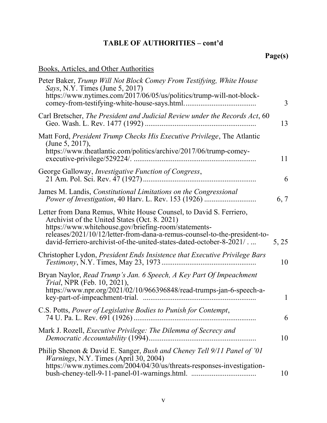# TABLE OF AUTHORITIES – cont'd

# Page(s)

# Books, Articles, and Other Authorities

| $\overline{3}$ |
|----------------|
| 13             |
| 11             |
| 6              |
| 6, 7           |
| 5, 25          |
| 10             |
| 1              |
| 6              |
| 10             |
| 10             |
|                |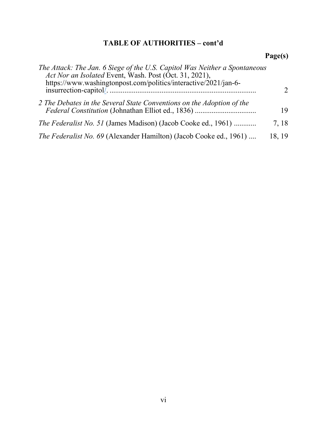# TABLE OF AUTHORITIES – cont'd

# Page(s)

| The Attack: The Jan. 6 Siege of the U.S. Capitol Was Neither a Spontaneous<br>Act Nor an Isolated Event, Wash. Post (Oct. 31, 2021),<br>https://www.washingtonpost.com/politics/interactive/2021/jan-6- |        |
|---------------------------------------------------------------------------------------------------------------------------------------------------------------------------------------------------------|--------|
|                                                                                                                                                                                                         |        |
| 2 The Debates in the Several State Conventions on the Adoption of the                                                                                                                                   | 19     |
| <i>The Federalist No. 51</i> (James Madison) (Jacob Cooke ed., 1961)                                                                                                                                    | 7, 18  |
| The Federalist No. 69 (Alexander Hamilton) (Jacob Cooke ed., 1961)                                                                                                                                      | 18, 19 |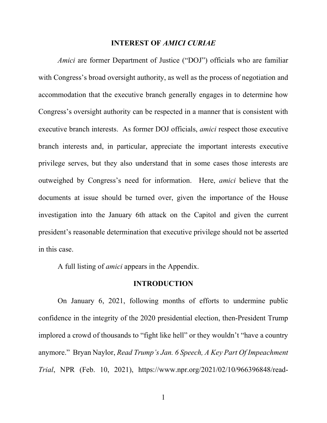#### INTEREST OF AMICI CURIAE

Amici are former Department of Justice ("DOJ") officials who are familiar with Congress's broad oversight authority, as well as the process of negotiation and accommodation that the executive branch generally engages in to determine how Congress's oversight authority can be respected in a manner that is consistent with executive branch interests. As former DOJ officials, amici respect those executive branch interests and, in particular, appreciate the important interests executive privilege serves, but they also understand that in some cases those interests are outweighed by Congress's need for information. Here, amici believe that the documents at issue should be turned over, given the importance of the House investigation into the January 6th attack on the Capitol and given the current president's reasonable determination that executive privilege should not be asserted in this case.

A full listing of amici appears in the Appendix.

#### INTRODUCTION

On January 6, 2021, following months of efforts to undermine public confidence in the integrity of the 2020 presidential election, then-President Trump implored a crowd of thousands to "fight like hell" or they wouldn't "have a country anymore." Bryan Naylor, Read Trump's Jan. 6 Speech, A Key Part Of Impeachment Trial, NPR (Feb. 10, 2021), https://www.npr.org/2021/02/10/966396848/read-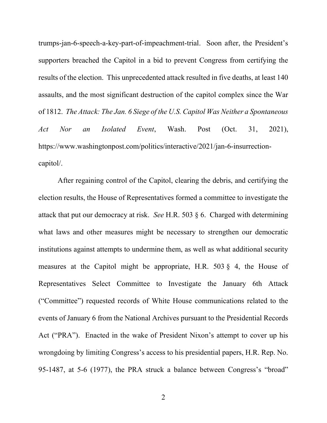trumps-jan-6-speech-a-key-part-of-impeachment-trial. Soon after, the President's supporters breached the Capitol in a bid to prevent Congress from certifying the results of the election. This unprecedented attack resulted in five deaths, at least 140 assaults, and the most significant destruction of the capitol complex since the War of 1812. The Attack: The Jan. 6 Siege of the U.S. Capitol Was Neither a Spontaneous Act Nor an Isolated Event, Wash. Post (Oct. 31, 2021), https://www.washingtonpost.com/politics/interactive/2021/jan-6-insurrectioncapitol/.

After regaining control of the Capitol, clearing the debris, and certifying the election results, the House of Representatives formed a committee to investigate the attack that put our democracy at risk. See H.R. 503 § 6. Charged with determining what laws and other measures might be necessary to strengthen our democratic institutions against attempts to undermine them, as well as what additional security measures at the Capitol might be appropriate, H.R. 503 § 4, the House of Representatives Select Committee to Investigate the January 6th Attack ("Committee") requested records of White House communications related to the events of January 6 from the National Archives pursuant to the Presidential Records Act ("PRA"). Enacted in the wake of President Nixon's attempt to cover up his wrongdoing by limiting Congress's access to his presidential papers, H.R. Rep. No. 95-1487, at 5-6 (1977), the PRA struck a balance between Congress's "broad"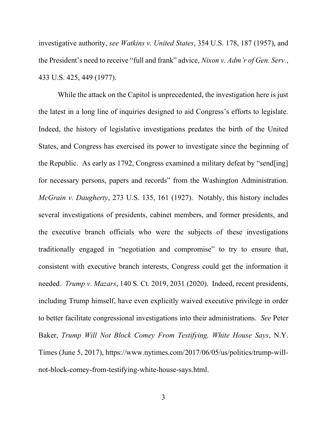investigative authority, see Watkins v. United States, 354 U.S. 178, 187 (1957), and the President's need to receive "full and frank" advice, Nixon v. Adm'r of Gen. Serv., 433 U.S. 425, 449 (1977).

While the attack on the Capitol is unprecedented, the investigation here is just the latest in a long line of inquiries designed to aid Congress's efforts to legislate. Indeed, the history of legislative investigations predates the birth of the United States, and Congress has exercised its power to investigate since the beginning of the Republic. As early as 1792, Congress examined a military defeat by "send[ing] for necessary persons, papers and records" from the Washington Administration. McGrain v. Daugherty, 273 U.S. 135, 161 (1927). Notably, this history includes several investigations of presidents, cabinet members, and former presidents, and the executive branch officials who were the subjects of these investigations traditionally engaged in "negotiation and compromise" to try to ensure that, consistent with executive branch interests, Congress could get the information it needed. Trump v. Mazars, 140 S. Ct. 2019, 2031 (2020). Indeed, recent presidents, including Trump himself, have even explicitly waived executive privilege in order to better facilitate congressional investigations into their administrations. See Peter Baker, Trump Will Not Block Comey From Testifying, White House Says, N.Y. Times (June 5, 2017), https://www.nytimes.com/2017/06/05/us/politics/trump-willnot-block-comey-from-testifying-white-house-says.html.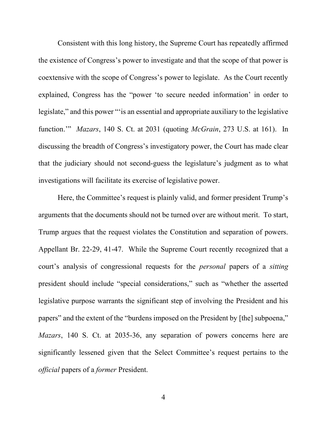Consistent with this long history, the Supreme Court has repeatedly affirmed the existence of Congress's power to investigate and that the scope of that power is coextensive with the scope of Congress's power to legislate. As the Court recently explained, Congress has the "power 'to secure needed information' in order to legislate," and this power "'is an essential and appropriate auxiliary to the legislative function.'" Mazars, 140 S. Ct. at 2031 (quoting McGrain, 273 U.S. at 161). In discussing the breadth of Congress's investigatory power, the Court has made clear that the judiciary should not second-guess the legislature's judgment as to what investigations will facilitate its exercise of legislative power.

Here, the Committee's request is plainly valid, and former president Trump's arguments that the documents should not be turned over are without merit. To start, Trump argues that the request violates the Constitution and separation of powers. Appellant Br. 22-29, 41-47. While the Supreme Court recently recognized that a court's analysis of congressional requests for the personal papers of a sitting president should include "special considerations," such as "whether the asserted legislative purpose warrants the significant step of involving the President and his papers" and the extent of the "burdens imposed on the President by [the] subpoena," Mazars, 140 S. Ct. at 2035-36, any separation of powers concerns here are significantly lessened given that the Select Committee's request pertains to the official papers of a former President.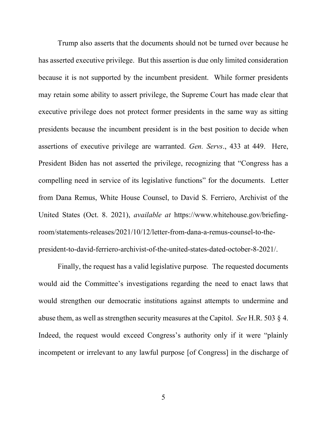Trump also asserts that the documents should not be turned over because he has asserted executive privilege. But this assertion is due only limited consideration because it is not supported by the incumbent president. While former presidents may retain some ability to assert privilege, the Supreme Court has made clear that executive privilege does not protect former presidents in the same way as sitting presidents because the incumbent president is in the best position to decide when assertions of executive privilege are warranted. Gen. Servs., 433 at 449. Here, President Biden has not asserted the privilege, recognizing that "Congress has a compelling need in service of its legislative functions" for the documents. Letter from Dana Remus, White House Counsel, to David S. Ferriero, Archivist of the United States (Oct. 8. 2021), available at https://www.whitehouse.gov/briefingroom/statements-releases/2021/10/12/letter-from-dana-a-remus-counsel-to-thepresident-to-david-ferriero-archivist-of-the-united-states-dated-october-8-2021/.

Finally, the request has a valid legislative purpose. The requested documents would aid the Committee's investigations regarding the need to enact laws that would strengthen our democratic institutions against attempts to undermine and abuse them, as well as strengthen security measures at the Capitol. See H.R. 503 § 4. Indeed, the request would exceed Congress's authority only if it were "plainly incompetent or irrelevant to any lawful purpose [of Congress] in the discharge of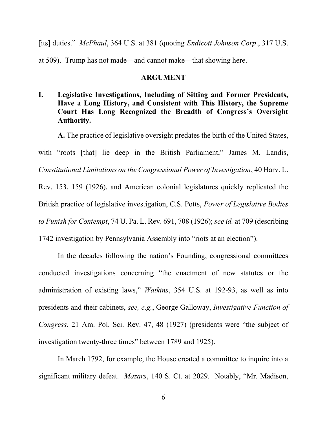[its] duties." McPhaul, 364 U.S. at 381 (quoting Endicott Johnson Corp., 317 U.S.

at 509). Trump has not made—and cannot make—that showing here.

### ARGUMENT

I. Legislative Investigations, Including of Sitting and Former Presidents, Have a Long History, and Consistent with This History, the Supreme Court Has Long Recognized the Breadth of Congress's Oversight Authority.

A. The practice of legislative oversight predates the birth of the United States,

with "roots [that] lie deep in the British Parliament," James M. Landis, Constitutional Limitations on the Congressional Power of Investigation, 40 Harv. L. Rev. 153, 159 (1926), and American colonial legislatures quickly replicated the British practice of legislative investigation, C.S. Potts, Power of Legislative Bodies to Punish for Contempt, 74 U. Pa. L. Rev. 691, 708 (1926); see id. at 709 (describing 1742 investigation by Pennsylvania Assembly into "riots at an election").

In the decades following the nation's Founding, congressional committees conducted investigations concerning "the enactment of new statutes or the administration of existing laws," Watkins, 354 U.S. at 192-93, as well as into presidents and their cabinets, see, e.g., George Galloway, Investigative Function of Congress, 21 Am. Pol. Sci. Rev. 47, 48 (1927) (presidents were "the subject of investigation twenty-three times" between 1789 and 1925).

In March 1792, for example, the House created a committee to inquire into a significant military defeat. Mazars, 140 S. Ct. at 2029. Notably, "Mr. Madison,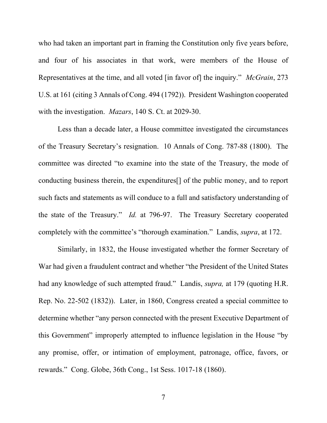who had taken an important part in framing the Constitution only five years before, and four of his associates in that work, were members of the House of Representatives at the time, and all voted [in favor of] the inquiry." *McGrain*, 273 U.S. at 161 (citing 3 Annals of Cong. 494 (1792)). President Washington cooperated with the investigation. *Mazars*, 140 S. Ct. at 2029-30.

Less than a decade later, a House committee investigated the circumstances of the Treasury Secretary's resignation. 10 Annals of Cong. 787-88 (1800). The committee was directed "to examine into the state of the Treasury, the mode of conducting business therein, the expenditures[] of the public money, and to report such facts and statements as will conduce to a full and satisfactory understanding of the state of the Treasury." Id. at 796-97. The Treasury Secretary cooperated completely with the committee's "thorough examination." Landis, supra, at 172.

Similarly, in 1832, the House investigated whether the former Secretary of War had given a fraudulent contract and whether "the President of the United States had any knowledge of such attempted fraud." Landis, *supra*, at 179 (quoting H.R. Rep. No. 22-502 (1832)). Later, in 1860, Congress created a special committee to determine whether "any person connected with the present Executive Department of this Government" improperly attempted to influence legislation in the House "by any promise, offer, or intimation of employment, patronage, office, favors, or rewards." Cong. Globe, 36th Cong., 1st Sess. 1017-18 (1860).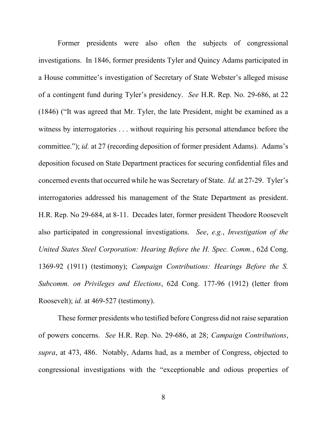Former presidents were also often the subjects of congressional investigations. In 1846, former presidents Tyler and Quincy Adams participated in a House committee's investigation of Secretary of State Webster's alleged misuse of a contingent fund during Tyler's presidency. See H.R. Rep. No. 29-686, at 22 (1846) ("It was agreed that Mr. Tyler, the late President, might be examined as a witness by interrogatories . . . without requiring his personal attendance before the committee."); id. at 27 (recording deposition of former president Adams). Adams's deposition focused on State Department practices for securing confidential files and concerned events that occurred while he was Secretary of State. Id. at 27-29. Tyler's interrogatories addressed his management of the State Department as president. H.R. Rep. No 29-684, at 8-11. Decades later, former president Theodore Roosevelt also participated in congressional investigations. See, e.g., Investigation of the United States Steel Corporation: Hearing Before the H. Spec. Comm., 62d Cong. 1369-92 (1911) (testimony); Campaign Contributions: Hearings Before the S. Subcomm. on Privileges and Elections, 62d Cong. 177-96 (1912) (letter from Roosevelt); *id.* at 469-527 (testimony).

These former presidents who testified before Congress did not raise separation of powers concerns. See H.R. Rep. No. 29-686, at 28; Campaign Contributions, supra, at 473, 486. Notably, Adams had, as a member of Congress, objected to congressional investigations with the "exceptionable and odious properties of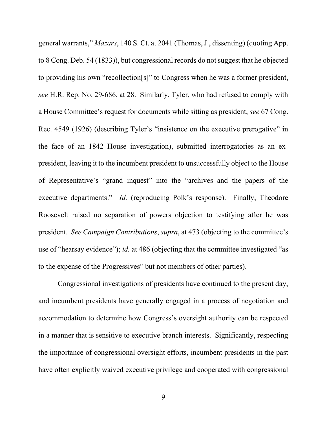general warrants," Mazars, 140 S. Ct. at 2041 (Thomas, J., dissenting) (quoting App. to 8 Cong. Deb. 54 (1833)), but congressional records do not suggest that he objected to providing his own "recollection[s]" to Congress when he was a former president, see H.R. Rep. No. 29-686, at 28. Similarly, Tyler, who had refused to comply with a House Committee's request for documents while sitting as president, see 67 Cong. Rec. 4549 (1926) (describing Tyler's "insistence on the executive prerogative" in the face of an 1842 House investigation), submitted interrogatories as an expresident, leaving it to the incumbent president to unsuccessfully object to the House of Representative's "grand inquest" into the "archives and the papers of the executive departments." *Id.* (reproducing Polk's response). Finally, Theodore Roosevelt raised no separation of powers objection to testifying after he was president. See Campaign Contributions, supra, at 473 (objecting to the committee's use of "hearsay evidence"); id. at 486 (objecting that the committee investigated "as to the expense of the Progressives" but not members of other parties).

Congressional investigations of presidents have continued to the present day, and incumbent presidents have generally engaged in a process of negotiation and accommodation to determine how Congress's oversight authority can be respected in a manner that is sensitive to executive branch interests. Significantly, respecting the importance of congressional oversight efforts, incumbent presidents in the past have often explicitly waived executive privilege and cooperated with congressional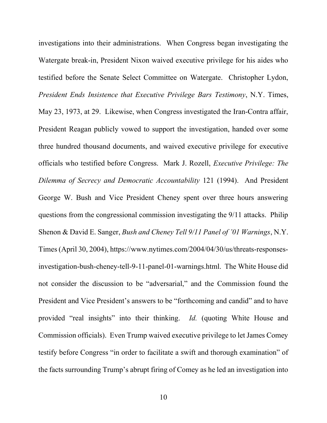investigations into their administrations. When Congress began investigating the Watergate break-in, President Nixon waived executive privilege for his aides who testified before the Senate Select Committee on Watergate. Christopher Lydon, President Ends Insistence that Executive Privilege Bars Testimony, N.Y. Times, May 23, 1973, at 29. Likewise, when Congress investigated the Iran-Contra affair, President Reagan publicly vowed to support the investigation, handed over some three hundred thousand documents, and waived executive privilege for executive officials who testified before Congress. Mark J. Rozell, Executive Privilege: The Dilemma of Secrecy and Democratic Accountability 121 (1994). And President George W. Bush and Vice President Cheney spent over three hours answering questions from the congressional commission investigating the 9/11 attacks. Philip Shenon & David E. Sanger, Bush and Cheney Tell 9/11 Panel of '01 Warnings, N.Y. Times (April 30, 2004), https://www.nytimes.com/2004/04/30/us/threats-responsesinvestigation-bush-cheney-tell-9-11-panel-01-warnings.html. The White House did not consider the discussion to be "adversarial," and the Commission found the President and Vice President's answers to be "forthcoming and candid" and to have provided "real insights" into their thinking. Id. (quoting White House and Commission officials). Even Trump waived executive privilege to let James Comey testify before Congress "in order to facilitate a swift and thorough examination" of the facts surrounding Trump's abrupt firing of Comey as he led an investigation into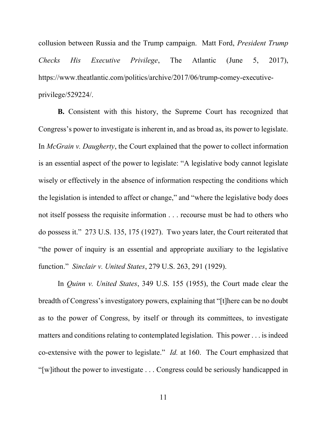collusion between Russia and the Trump campaign. Matt Ford, President Trump Checks His Executive Privilege, The Atlantic (June 5, 2017), https://www.theatlantic.com/politics/archive/2017/06/trump-comey-executiveprivilege/529224/.

B. Consistent with this history, the Supreme Court has recognized that Congress's power to investigate is inherent in, and as broad as, its power to legislate. In *McGrain v. Daugherty*, the Court explained that the power to collect information is an essential aspect of the power to legislate: "A legislative body cannot legislate wisely or effectively in the absence of information respecting the conditions which the legislation is intended to affect or change," and "where the legislative body does not itself possess the requisite information . . . recourse must be had to others who do possess it." 273 U.S. 135, 175 (1927). Two years later, the Court reiterated that "the power of inquiry is an essential and appropriate auxiliary to the legislative function." Sinclair v. United States, 279 U.S. 263, 291 (1929).

In Quinn v. United States, 349 U.S. 155 (1955), the Court made clear the breadth of Congress's investigatory powers, explaining that "[t]here can be no doubt as to the power of Congress, by itself or through its committees, to investigate matters and conditions relating to contemplated legislation. This power . . . is indeed co-extensive with the power to legislate." Id. at 160. The Court emphasized that "[w]ithout the power to investigate . . . Congress could be seriously handicapped in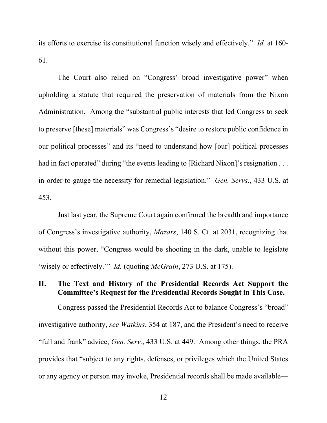its efforts to exercise its constitutional function wisely and effectively." Id. at 160- 61.

The Court also relied on "Congress' broad investigative power" when upholding a statute that required the preservation of materials from the Nixon Administration. Among the "substantial public interests that led Congress to seek to preserve [these] materials" was Congress's "desire to restore public confidence in our political processes" and its "need to understand how [our] political processes had in fact operated" during "the events leading to [Richard Nixon]'s resignation . . . in order to gauge the necessity for remedial legislation." Gen. Servs., 433 U.S. at 453.

Just last year, the Supreme Court again confirmed the breadth and importance of Congress's investigative authority, Mazars, 140 S. Ct. at 2031, recognizing that without this power, "Congress would be shooting in the dark, unable to legislate 'wisely or effectively.'" *Id.* (quoting *McGrain*, 273 U.S. at 175).

# II. The Text and History of the Presidential Records Act Support the Committee's Request for the Presidential Records Sought in This Case.

Congress passed the Presidential Records Act to balance Congress's "broad" investigative authority, see Watkins, 354 at 187, and the President's need to receive "full and frank" advice, Gen. Serv., 433 U.S. at 449. Among other things, the PRA provides that "subject to any rights, defenses, or privileges which the United States or any agency or person may invoke, Presidential records shall be made available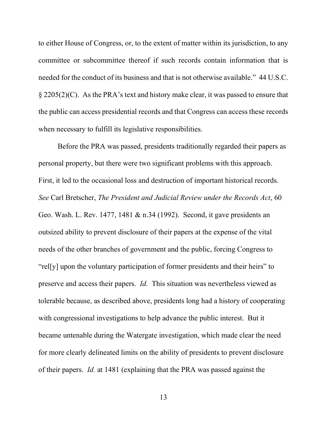to either House of Congress, or, to the extent of matter within its jurisdiction, to any committee or subcommittee thereof if such records contain information that is needed for the conduct of its business and that is not otherwise available." 44 U.S.C. § 2205(2)(C). As the PRA's text and history make clear, it was passed to ensure that the public can access presidential records and that Congress can access these records when necessary to fulfill its legislative responsibilities.

Before the PRA was passed, presidents traditionally regarded their papers as personal property, but there were two significant problems with this approach. First, it led to the occasional loss and destruction of important historical records. See Carl Bretscher, The President and Judicial Review under the Records Act, 60 Geo. Wash. L. Rev. 1477, 1481 & n.34 (1992). Second, it gave presidents an outsized ability to prevent disclosure of their papers at the expense of the vital needs of the other branches of government and the public, forcing Congress to "rel[y] upon the voluntary participation of former presidents and their heirs" to preserve and access their papers. Id. This situation was nevertheless viewed as tolerable because, as described above, presidents long had a history of cooperating with congressional investigations to help advance the public interest. But it became untenable during the Watergate investigation, which made clear the need for more clearly delineated limits on the ability of presidents to prevent disclosure of their papers. Id. at 1481 (explaining that the PRA was passed against the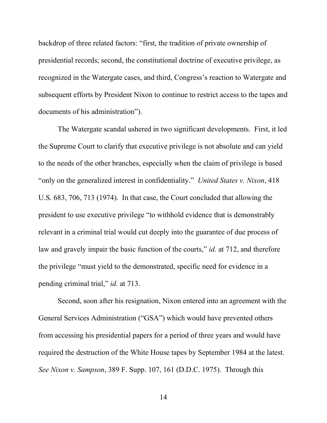backdrop of three related factors: "first, the tradition of private ownership of presidential records; second, the constitutional doctrine of executive privilege, as recognized in the Watergate cases, and third, Congress's reaction to Watergate and subsequent efforts by President Nixon to continue to restrict access to the tapes and documents of his administration").

The Watergate scandal ushered in two significant developments. First, it led the Supreme Court to clarify that executive privilege is not absolute and can yield to the needs of the other branches, especially when the claim of privilege is based "only on the generalized interest in confidentiality." United States v. Nixon, 418 U.S. 683, 706, 713 (1974). In that case, the Court concluded that allowing the president to use executive privilege "to withhold evidence that is demonstrably relevant in a criminal trial would cut deeply into the guarantee of due process of law and gravely impair the basic function of the courts," *id.* at 712, and therefore the privilege "must yield to the demonstrated, specific need for evidence in a pending criminal trial," id. at 713.

Second, soon after his resignation, Nixon entered into an agreement with the General Services Administration ("GSA") which would have prevented others from accessing his presidential papers for a period of three years and would have required the destruction of the White House tapes by September 1984 at the latest. See Nixon v. Sampson, 389 F. Supp. 107, 161 (D.D.C. 1975). Through this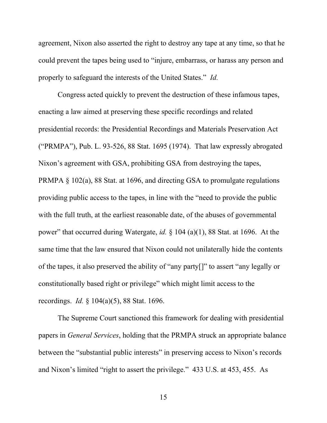agreement, Nixon also asserted the right to destroy any tape at any time, so that he could prevent the tapes being used to "injure, embarrass, or harass any person and properly to safeguard the interests of the United States." Id.

Congress acted quickly to prevent the destruction of these infamous tapes, enacting a law aimed at preserving these specific recordings and related presidential records: the Presidential Recordings and Materials Preservation Act ("PRMPA"), Pub. L. 93-526, 88 Stat. 1695 (1974). That law expressly abrogated Nixon's agreement with GSA, prohibiting GSA from destroying the tapes, PRMPA § 102(a), 88 Stat. at 1696, and directing GSA to promulgate regulations providing public access to the tapes, in line with the "need to provide the public with the full truth, at the earliest reasonable date, of the abuses of governmental power" that occurred during Watergate, *id.*  $\S$  104 (a)(1), 88 Stat. at 1696. At the same time that the law ensured that Nixon could not unilaterally hide the contents of the tapes, it also preserved the ability of "any party[]" to assert "any legally or constitutionally based right or privilege" which might limit access to the recordings. Id. § 104(a)(5), 88 Stat. 1696.

The Supreme Court sanctioned this framework for dealing with presidential papers in General Services, holding that the PRMPA struck an appropriate balance between the "substantial public interests" in preserving access to Nixon's records and Nixon's limited "right to assert the privilege." 433 U.S. at 453, 455. As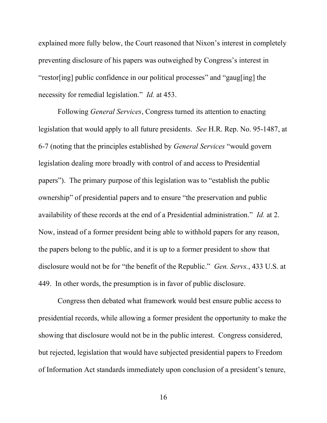explained more fully below, the Court reasoned that Nixon's interest in completely preventing disclosure of his papers was outweighed by Congress's interest in "restor[ing] public confidence in our political processes" and "gaug[ing] the necessity for remedial legislation." Id. at 453.

Following General Services, Congress turned its attention to enacting legislation that would apply to all future presidents. See H.R. Rep. No. 95-1487, at 6-7 (noting that the principles established by General Services "would govern legislation dealing more broadly with control of and access to Presidential papers"). The primary purpose of this legislation was to "establish the public ownership" of presidential papers and to ensure "the preservation and public availability of these records at the end of a Presidential administration." Id. at 2. Now, instead of a former president being able to withhold papers for any reason, the papers belong to the public, and it is up to a former president to show that disclosure would not be for "the benefit of the Republic." Gen. Servs., 433 U.S. at 449. In other words, the presumption is in favor of public disclosure.

Congress then debated what framework would best ensure public access to presidential records, while allowing a former president the opportunity to make the showing that disclosure would not be in the public interest. Congress considered, but rejected, legislation that would have subjected presidential papers to Freedom of Information Act standards immediately upon conclusion of a president's tenure,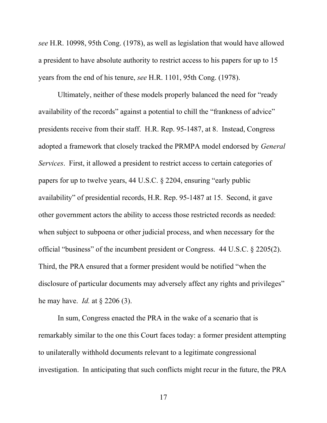see H.R. 10998, 95th Cong. (1978), as well as legislation that would have allowed a president to have absolute authority to restrict access to his papers for up to 15 years from the end of his tenure, see H.R. 1101, 95th Cong. (1978).

Ultimately, neither of these models properly balanced the need for "ready availability of the records" against a potential to chill the "frankness of advice" presidents receive from their staff. H.R. Rep. 95-1487, at 8. Instead, Congress adopted a framework that closely tracked the PRMPA model endorsed by General Services. First, it allowed a president to restrict access to certain categories of papers for up to twelve years, 44 U.S.C. § 2204, ensuring "early public availability" of presidential records, H.R. Rep. 95-1487 at 15. Second, it gave other government actors the ability to access those restricted records as needed: when subject to subpoena or other judicial process, and when necessary for the official "business" of the incumbent president or Congress. 44 U.S.C. § 2205(2). Third, the PRA ensured that a former president would be notified "when the disclosure of particular documents may adversely affect any rights and privileges" he may have. *Id.* at  $\S$  2206 (3).

In sum, Congress enacted the PRA in the wake of a scenario that is remarkably similar to the one this Court faces today: a former president attempting to unilaterally withhold documents relevant to a legitimate congressional investigation. In anticipating that such conflicts might recur in the future, the PRA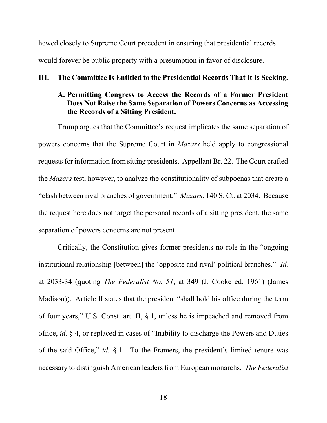hewed closely to Supreme Court precedent in ensuring that presidential records would forever be public property with a presumption in favor of disclosure.

### III. The Committee Is Entitled to the Presidential Records That It Is Seeking.

## A. Permitting Congress to Access the Records of a Former President Does Not Raise the Same Separation of Powers Concerns as Accessing the Records of a Sitting President.

Trump argues that the Committee's request implicates the same separation of powers concerns that the Supreme Court in Mazars held apply to congressional requests for information from sitting presidents. Appellant Br. 22. The Court crafted the Mazars test, however, to analyze the constitutionality of subpoenas that create a "clash between rival branches of government." Mazars, 140 S. Ct. at 2034. Because the request here does not target the personal records of a sitting president, the same separation of powers concerns are not present.

Critically, the Constitution gives former presidents no role in the "ongoing institutional relationship [between] the 'opposite and rival' political branches." Id. at 2033-34 (quoting The Federalist No. 51, at 349 (J. Cooke ed. 1961) (James Madison)). Article II states that the president "shall hold his office during the term of four years," U.S. Const. art. II, § 1, unless he is impeached and removed from office, id. § 4, or replaced in cases of "Inability to discharge the Powers and Duties of the said Office," id.  $\S$  1. To the Framers, the president's limited tenure was necessary to distinguish American leaders from European monarchs. The Federalist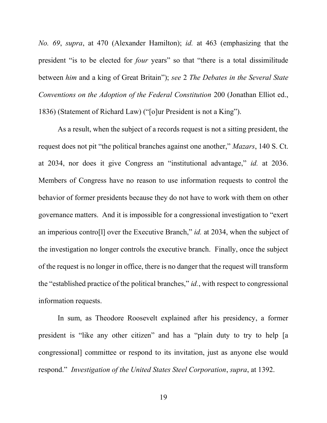No. 69, supra, at 470 (Alexander Hamilton); id. at 463 (emphasizing that the president "is to be elected for four years" so that "there is a total dissimilitude between him and a king of Great Britain"); see 2 The Debates in the Several State Conventions on the Adoption of the Federal Constitution 200 (Jonathan Elliot ed., 1836) (Statement of Richard Law) ("[o]ur President is not a King").

As a result, when the subject of a records request is not a sitting president, the request does not pit "the political branches against one another," Mazars, 140 S. Ct. at 2034, nor does it give Congress an "institutional advantage," id. at 2036. Members of Congress have no reason to use information requests to control the behavior of former presidents because they do not have to work with them on other governance matters. And it is impossible for a congressional investigation to "exert an imperious contro[l] over the Executive Branch," id. at 2034, when the subject of the investigation no longer controls the executive branch. Finally, once the subject of the request is no longer in office, there is no danger that the request will transform the "established practice of the political branches," *id.*, with respect to congressional information requests.

In sum, as Theodore Roosevelt explained after his presidency, a former president is "like any other citizen" and has a "plain duty to try to help [a congressional] committee or respond to its invitation, just as anyone else would respond." Investigation of the United States Steel Corporation, supra, at 1392.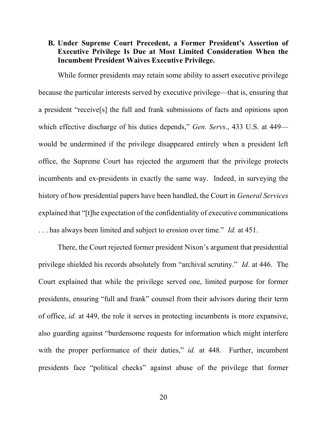# B. Under Supreme Court Precedent, a Former President's Assertion of Executive Privilege Is Due at Most Limited Consideration When the Incumbent President Waives Executive Privilege.

While former presidents may retain some ability to assert executive privilege because the particular interests served by executive privilege—that is, ensuring that a president "receive[s] the full and frank submissions of facts and opinions upon which effective discharge of his duties depends," Gen. Servs., 433 U.S. at 449 would be undermined if the privilege disappeared entirely when a president left office, the Supreme Court has rejected the argument that the privilege protects incumbents and ex-presidents in exactly the same way. Indeed, in surveying the history of how presidential papers have been handled, the Court in General Services explained that "[t]he expectation of the confidentiality of executive communications ... has always been limited and subject to erosion over time." Id. at 451.

There, the Court rejected former president Nixon's argument that presidential privilege shielded his records absolutely from "archival scrutiny." Id. at 446. The Court explained that while the privilege served one, limited purpose for former presidents, ensuring "full and frank" counsel from their advisors during their term of office, id. at 449, the role it serves in protecting incumbents is more expansive, also guarding against "burdensome requests for information which might interfere with the proper performance of their duties," id. at 448. Further, incumbent presidents face "political checks" against abuse of the privilege that former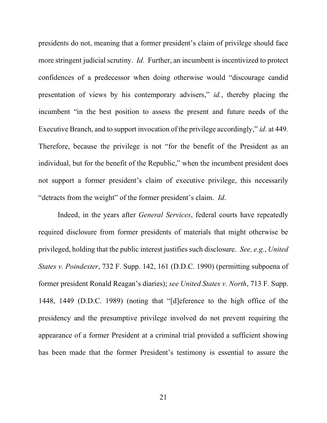presidents do not, meaning that a former president's claim of privilege should face more stringent judicial scrutiny. *Id.* Further, an incumbent is incentivized to protect confidences of a predecessor when doing otherwise would "discourage candid presentation of views by his contemporary advisers," id., thereby placing the incumbent "in the best position to assess the present and future needs of the Executive Branch, and to support invocation of the privilege accordingly," *id.* at 449. Therefore, because the privilege is not "for the benefit of the President as an individual, but for the benefit of the Republic," when the incumbent president does not support a former president's claim of executive privilege, this necessarily "detracts from the weight" of the former president's claim. Id.

Indeed, in the years after General Services, federal courts have repeatedly required disclosure from former presidents of materials that might otherwise be privileged, holding that the public interest justifies such disclosure. See, e.g., United States v. Poindexter, 732 F. Supp. 142, 161 (D.D.C. 1990) (permitting subpoena of former president Ronald Reagan's diaries); see United States v. North, 713 F. Supp. 1448, 1449 (D.D.C. 1989) (noting that "[d]eference to the high office of the presidency and the presumptive privilege involved do not prevent requiring the appearance of a former President at a criminal trial provided a sufficient showing has been made that the former President's testimony is essential to assure the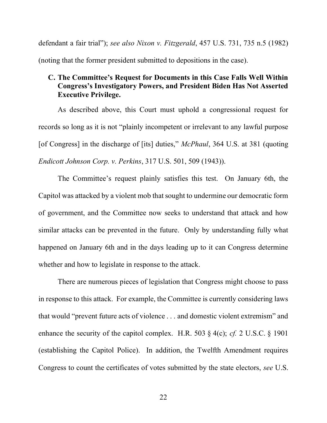defendant a fair trial"); see also Nixon v. Fitzgerald, 457 U.S. 731, 735 n.5 (1982) (noting that the former president submitted to depositions in the case).

# C. The Committee's Request for Documents in this Case Falls Well Within Congress's Investigatory Powers, and President Biden Has Not Asserted Executive Privilege.

As described above, this Court must uphold a congressional request for records so long as it is not "plainly incompetent or irrelevant to any lawful purpose [of Congress] in the discharge of [its] duties," *McPhaul*, 364 U.S. at 381 (quoting Endicott Johnson Corp. v. Perkins, 317 U.S. 501, 509 (1943)).

The Committee's request plainly satisfies this test. On January 6th, the Capitol was attacked by a violent mob that sought to undermine our democratic form of government, and the Committee now seeks to understand that attack and how similar attacks can be prevented in the future. Only by understanding fully what happened on January 6th and in the days leading up to it can Congress determine whether and how to legislate in response to the attack.

There are numerous pieces of legislation that Congress might choose to pass in response to this attack. For example, the Committee is currently considering laws that would "prevent future acts of violence . . . and domestic violent extremism" and enhance the security of the capitol complex. H.R. 503  $\S$  4(c); *cf.* 2 U.S.C.  $\S$  1901 (establishing the Capitol Police). In addition, the Twelfth Amendment requires Congress to count the certificates of votes submitted by the state electors, see U.S.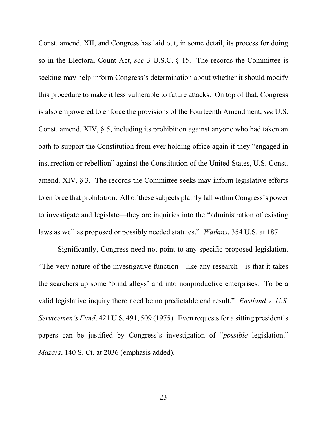Const. amend. XII, and Congress has laid out, in some detail, its process for doing so in the Electoral Count Act, see 3 U.S.C. § 15. The records the Committee is seeking may help inform Congress's determination about whether it should modify this procedure to make it less vulnerable to future attacks. On top of that, Congress is also empowered to enforce the provisions of the Fourteenth Amendment, see U.S. Const. amend. XIV, § 5, including its prohibition against anyone who had taken an oath to support the Constitution from ever holding office again if they "engaged in insurrection or rebellion" against the Constitution of the United States, U.S. Const. amend. XIV, § 3. The records the Committee seeks may inform legislative efforts to enforce that prohibition. All of these subjects plainly fall within Congress's power to investigate and legislate—they are inquiries into the "administration of existing laws as well as proposed or possibly needed statutes." Watkins, 354 U.S. at 187.

Significantly, Congress need not point to any specific proposed legislation. "The very nature of the investigative function—like any research—is that it takes the searchers up some 'blind alleys' and into nonproductive enterprises. To be a valid legislative inquiry there need be no predictable end result." Eastland v. U.S. Servicemen's Fund, 421 U.S. 491, 509 (1975). Even requests for a sitting president's papers can be justified by Congress's investigation of "possible legislation." Mazars, 140 S. Ct. at 2036 (emphasis added).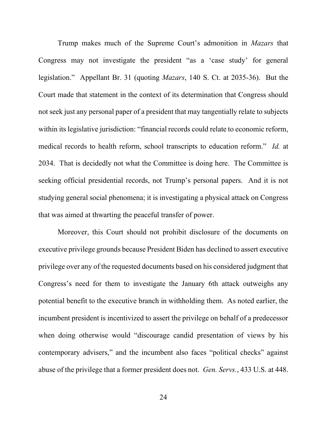Trump makes much of the Supreme Court's admonition in Mazars that Congress may not investigate the president "as a 'case study' for general legislation." Appellant Br. 31 (quoting Mazars, 140 S. Ct. at 2035-36). But the Court made that statement in the context of its determination that Congress should not seek just any personal paper of a president that may tangentially relate to subjects within its legislative jurisdiction: "financial records could relate to economic reform, medical records to health reform, school transcripts to education reform." Id. at 2034. That is decidedly not what the Committee is doing here. The Committee is seeking official presidential records, not Trump's personal papers. And it is not studying general social phenomena; it is investigating a physical attack on Congress that was aimed at thwarting the peaceful transfer of power.

Moreover, this Court should not prohibit disclosure of the documents on executive privilege grounds because President Biden has declined to assert executive privilege over any of the requested documents based on his considered judgment that Congress's need for them to investigate the January 6th attack outweighs any potential benefit to the executive branch in withholding them. As noted earlier, the incumbent president is incentivized to assert the privilege on behalf of a predecessor when doing otherwise would "discourage candid presentation of views by his contemporary advisers," and the incumbent also faces "political checks" against abuse of the privilege that a former president does not. Gen. Servs., 433 U.S. at 448.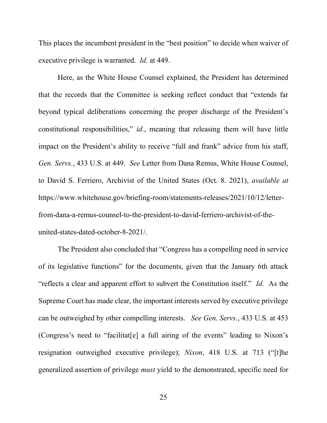This places the incumbent president in the "best position" to decide when waiver of executive privilege is warranted. Id. at 449.

Here, as the White House Counsel explained, the President has determined that the records that the Committee is seeking reflect conduct that "extends far beyond typical deliberations concerning the proper discharge of the President's constitutional responsibilities," id., meaning that releasing them will have little impact on the President's ability to receive "full and frank" advice from his staff, Gen. Servs., 433 U.S. at 449. See Letter from Dana Remus, White House Counsel, to David S. Ferriero, Archivist of the United States (Oct. 8. 2021), available at https://www.whitehouse.gov/briefing-room/statements-releases/2021/10/12/letterfrom-dana-a-remus-counsel-to-the-president-to-david-ferriero-archivist-of-theunited-states-dated-october-8-2021/.

The President also concluded that "Congress has a compelling need in service of its legislative functions" for the documents, given that the January 6th attack "reflects a clear and apparent effort to subvert the Constitution itself." Id. As the Supreme Court has made clear, the important interests served by executive privilege can be outweighed by other compelling interests. See Gen. Servs., 433 U.S. at 453 (Congress's need to "facilitat[e] a full airing of the events" leading to Nixon's resignation outweighed executive privilege); Nixon, 418 U.S. at 713 ("[t]he generalized assertion of privilege must yield to the demonstrated, specific need for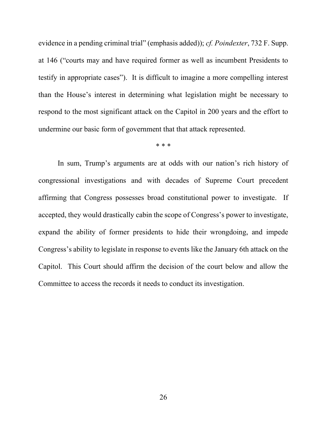evidence in a pending criminal trial" (emphasis added)); *cf. Poindexter*, 732 F. Supp. at 146 ("courts may and have required former as well as incumbent Presidents to testify in appropriate cases"). It is difficult to imagine a more compelling interest than the House's interest in determining what legislation might be necessary to respond to the most significant attack on the Capitol in 200 years and the effort to undermine our basic form of government that that attack represented.

\* \* \*

In sum, Trump's arguments are at odds with our nation's rich history of congressional investigations and with decades of Supreme Court precedent affirming that Congress possesses broad constitutional power to investigate. If accepted, they would drastically cabin the scope of Congress's power to investigate, expand the ability of former presidents to hide their wrongdoing, and impede Congress's ability to legislate in response to events like the January 6th attack on the Capitol. This Court should affirm the decision of the court below and allow the Committee to access the records it needs to conduct its investigation.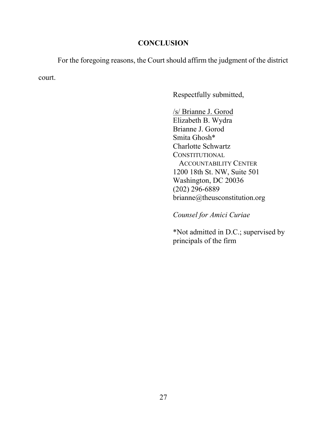## **CONCLUSION**

For the foregoing reasons, the Court should affirm the judgment of the district

court.

Respectfully submitted,

/s/ Brianne J. Gorod Elizabeth B. Wydra Brianne J. Gorod Smita Ghosh\* Charlotte Schwartz **CONSTITUTIONAL**  ACCOUNTABILITY CENTER 1200 18th St. NW, Suite 501 Washington, DC 20036 (202) 296-6889 brianne@theusconstitution.org

Counsel for Amici Curiae

\*Not admitted in D.C.; supervised by principals of the firm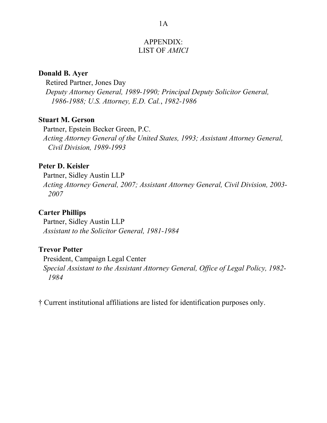### APPENDIX: LIST OF AMICI

### Donald B. Ayer

Retired Partner, Jones Day Deputy Attorney General, 1989-1990; Principal Deputy Solicitor General, 1986-1988; U.S. Attorney, E.D. Cal., 1982-1986

### Stuart M. Gerson

Partner, Epstein Becker Green, P.C. Acting Attorney General of the United States, 1993; Assistant Attorney General, Civil Division, 1989-1993

## Peter D. Keisler

Partner, Sidley Austin LLP

Acting Attorney General, 2007; Assistant Attorney General, Civil Division, 2003- 2007

### Carter Phillips

Partner, Sidley Austin LLP Assistant to the Solicitor General, 1981-1984

### Trevor Potter

President, Campaign Legal Center Special Assistant to the Assistant Attorney General, Office of Legal Policy, 1982- 1984

† Current institutional affiliations are listed for identification purposes only.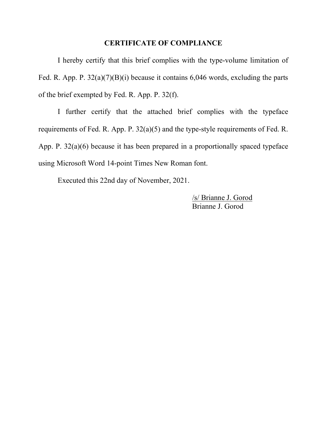#### CERTIFICATE OF COMPLIANCE

I hereby certify that this brief complies with the type-volume limitation of Fed. R. App. P.  $32(a)(7)(B)(i)$  because it contains 6,046 words, excluding the parts of the brief exempted by Fed. R. App. P. 32(f).

 I further certify that the attached brief complies with the typeface requirements of Fed. R. App. P. 32(a)(5) and the type-style requirements of Fed. R. App. P. 32(a)(6) because it has been prepared in a proportionally spaced typeface using Microsoft Word 14-point Times New Roman font.

Executed this 22nd day of November, 2021.

/s/ Brianne J. Gorod Brianne J. Gorod